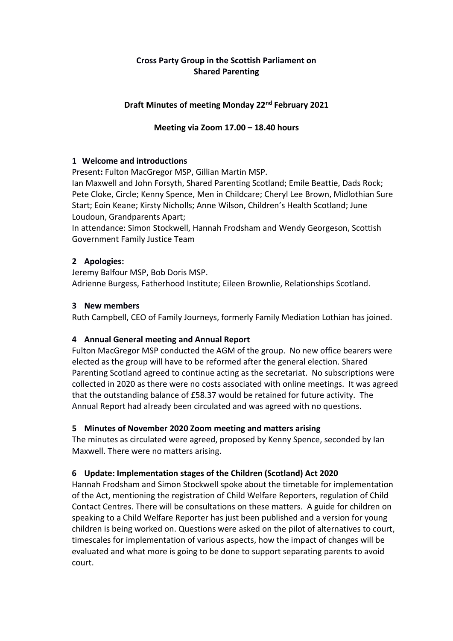## **Cross Party Group in the Scottish Parliament on Shared Parenting**

### **Draft Minutes of meeting Monday 22nd February 2021**

### **Meeting via Zoom 17.00 – 18.40 hours**

#### **1 Welcome and introductions**

Present**:** Fulton MacGregor MSP, Gillian Martin MSP.

Ian Maxwell and John Forsyth, Shared Parenting Scotland; Emile Beattie, Dads Rock; Pete Cloke, Circle; Kenny Spence, Men in Childcare; Cheryl Lee Brown, Midlothian Sure Start; Eoin Keane; Kirsty Nicholls; Anne Wilson, Children's Health Scotland; June Loudoun, Grandparents Apart;

In attendance: Simon Stockwell, Hannah Frodsham and Wendy Georgeson, Scottish Government Family Justice Team

## **2 Apologies:**

Jeremy Balfour MSP, Bob Doris MSP. Adrienne Burgess, Fatherhood Institute; Eileen Brownlie, Relationships Scotland.

#### **3 New members**

Ruth Campbell, CEO of Family Journeys, formerly Family Mediation Lothian has joined.

# **4 Annual General meeting and Annual Report**

Fulton MacGregor MSP conducted the AGM of the group. No new office bearers were elected as the group will have to be reformed after the general election. Shared Parenting Scotland agreed to continue acting as the secretariat. No subscriptions were collected in 2020 as there were no costs associated with online meetings. It was agreed that the outstanding balance of £58.37 would be retained for future activity. The Annual Report had already been circulated and was agreed with no questions.

# **5 Minutes of November 2020 Zoom meeting and matters arising**

The minutes as circulated were agreed, proposed by Kenny Spence, seconded by Ian Maxwell. There were no matters arising.

# **6 Update: Implementation stages of the Children (Scotland) Act 2020**

Hannah Frodsham and Simon Stockwell spoke about the timetable for implementation of the Act, mentioning the registration of Child Welfare Reporters, regulation of Child Contact Centres. There will be consultations on these matters. A guide for children on speaking to a Child Welfare Reporter has just been published and a version for young children is being worked on. Questions were asked on the pilot of alternatives to court, timescales for implementation of various aspects, how the impact of changes will be evaluated and what more is going to be done to support separating parents to avoid court.